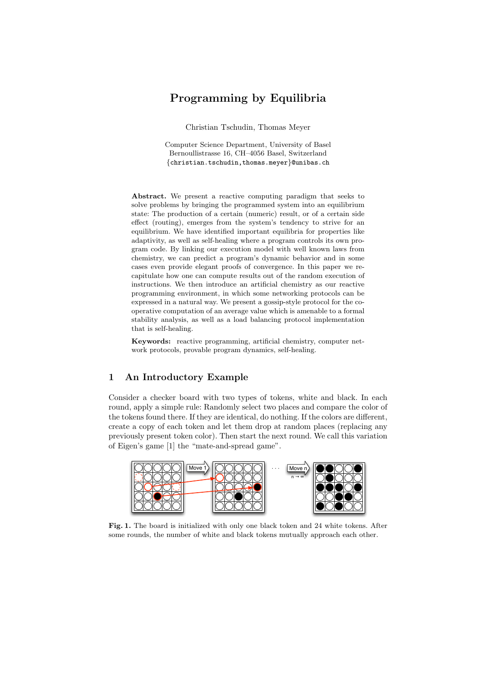# Programming by Equilibria

Christian Tschudin, Thomas Meyer

Computer Science Department, University of Basel Bernoullistrasse 16, CH–4056 Basel, Switzerland {christian.tschudin,thomas.meyer}@unibas.ch

Abstract. We present a reactive computing paradigm that seeks to solve problems by bringing the programmed system into an equilibrium state: The production of a certain (numeric) result, or of a certain side effect (routing), emerges from the system's tendency to strive for an equilibrium. We have identified important equilibria for properties like adaptivity, as well as self-healing where a program controls its own program code. By linking our execution model with well known laws from chemistry, we can predict a program's dynamic behavior and in some cases even provide elegant proofs of convergence. In this paper we recapitulate how one can compute results out of the random execution of instructions. We then introduce an artificial chemistry as our reactive programming environment, in which some networking protocols can be expressed in a natural way. We present a gossip-style protocol for the cooperative computation of an average value which is amenable to a formal stability analysis, as well as a load balancing protocol implementation that is self-healing.

Keywords: reactive programming, artificial chemistry, computer network protocols, provable program dynamics, self-healing.

## 1 An Introductory Example

Consider a checker board with two types of tokens, white and black. In each round, apply a simple rule: Randomly select two places and compare the color of the tokens found there. If they are identical, do nothing. If the colors are different, create a copy of each token and let them drop at random places (replacing any previously present token color). Then start the next round. We call this variation of Eigen's game [1] the "mate-and-spread game".



Fig. 1. The board is initialized with only one black token and 24 white tokens. After some rounds, the number of white and black tokens mutually approach each other.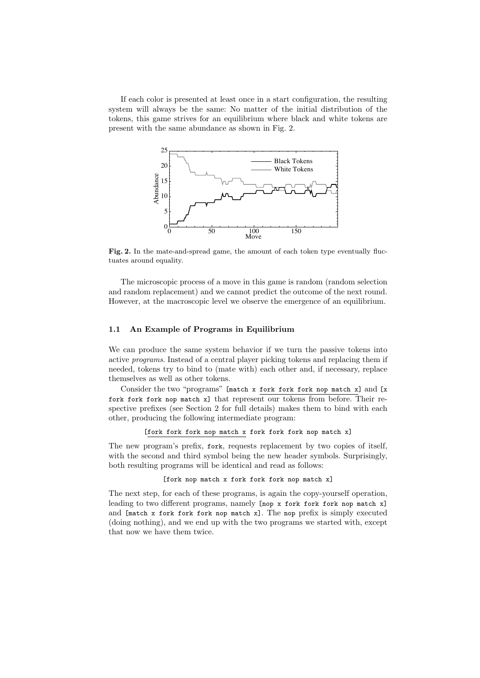If each color is presented at least once in a start configuration, the resulting system will always be the same: No matter of the initial distribution of the tokens, this game strives for an equilibrium where black and white tokens are present with the same abundance as shown in Fig. 2.



Fig. 2. In the mate-and-spread game, the amount of each token type eventually fluctuates around equality.

The microscopic process of a move in this game is random (random selection and random replacement) and we cannot predict the outcome of the next round. However, at the macroscopic level we observe the emergence of an equilibrium.

#### 1.1 An Example of Programs in Equilibrium

We can produce the same system behavior if we turn the passive tokens into active programs. Instead of a central player picking tokens and replacing them if needed, tokens try to bind to (mate with) each other and, if necessary, replace themselves as well as other tokens.

Consider the two "programs" [match x fork fork fork nop match x] and [x fork fork fork nop match x] that represent our tokens from before. Their respective prefixes (see Section 2 for full details) makes them to bind with each other, producing the following intermediate program:

[fork fork fork nop match x fork fork fork nop match x]

The new program's prefix, fork, requests replacement by two copies of itself, with the second and third symbol being the new header symbols. Surprisingly, both resulting programs will be identical and read as follows:

#### [fork nop match x fork fork fork nop match x]

The next step, for each of these programs, is again the copy-yourself operation, leading to two different programs, namely [nop x fork fork fork nop match x] and [match x fork fork fork nop match x]. The nop prefix is simply executed (doing nothing), and we end up with the two programs we started with, except that now we have them twice.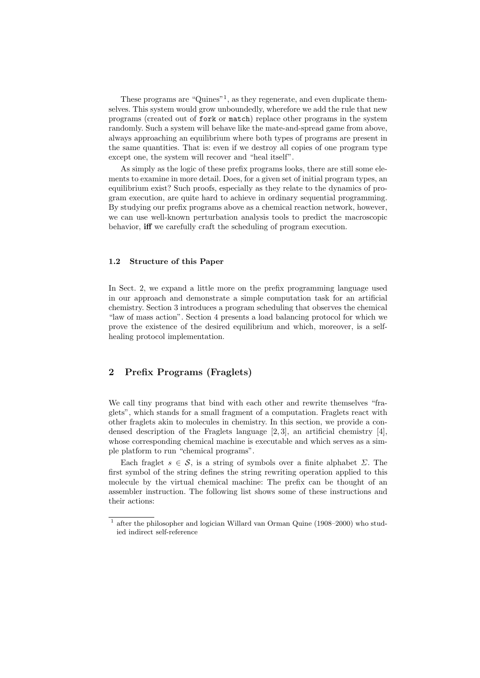These programs are "Quines"<sup>1</sup> , as they regenerate, and even duplicate themselves. This system would grow unboundedly, wherefore we add the rule that new programs (created out of fork or match) replace other programs in the system randomly. Such a system will behave like the mate-and-spread game from above, always approaching an equilibrium where both types of programs are present in the same quantities. That is: even if we destroy all copies of one program type except one, the system will recover and "heal itself".

As simply as the logic of these prefix programs looks, there are still some elements to examine in more detail. Does, for a given set of initial program types, an equilibrium exist? Such proofs, especially as they relate to the dynamics of program execution, are quite hard to achieve in ordinary sequential programming. By studying our prefix programs above as a chemical reaction network, however, we can use well-known perturbation analysis tools to predict the macroscopic behavior, iff we carefully craft the scheduling of program execution.

#### 1.2 Structure of this Paper

In Sect. 2, we expand a little more on the prefix programming language used in our approach and demonstrate a simple computation task for an artificial chemistry. Section 3 introduces a program scheduling that observes the chemical "law of mass action". Section 4 presents a load balancing protocol for which we prove the existence of the desired equilibrium and which, moreover, is a selfhealing protocol implementation.

# 2 Prefix Programs (Fraglets)

We call tiny programs that bind with each other and rewrite themselves "fraglets", which stands for a small fragment of a computation. Fraglets react with other fraglets akin to molecules in chemistry. In this section, we provide a condensed description of the Fraglets language [2, 3], an artificial chemistry [4], whose corresponding chemical machine is executable and which serves as a simple platform to run "chemical programs".

Each fraglet  $s \in \mathcal{S}$ , is a string of symbols over a finite alphabet  $\Sigma$ . The first symbol of the string defines the string rewriting operation applied to this molecule by the virtual chemical machine: The prefix can be thought of an assembler instruction. The following list shows some of these instructions and their actions:

<sup>&</sup>lt;sup>1</sup> after the philosopher and logician Willard van Orman Quine (1908–2000) who studied indirect self-reference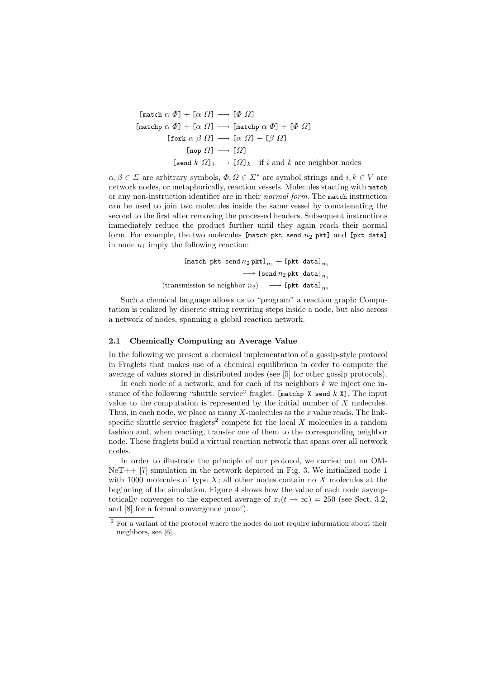$$
[\text{match } \alpha \Phi] + [\alpha \Omega] \longrightarrow [\Phi \Omega]
$$
\n
$$
[\text{matchp } \alpha \Phi] + [\alpha \Omega] \longrightarrow [\text{matchp } \alpha \Phi] + [\Phi \Omega]
$$
\n
$$
[\text{fork } \alpha \beta \Omega] \longrightarrow [\alpha \Omega] + [\beta \Omega]
$$
\n
$$
[\text{nop } \Omega] \longrightarrow [\Omega]
$$
\n
$$
[\text{send } k \Omega]_i \longrightarrow [\Omega]_k \text{ if } i \text{ and } k \text{ are neighbor nodes}
$$

 $\alpha, \beta \in \Sigma$  are arbitrary symbols,  $\Phi, \Omega \in \Sigma^*$  are symbol strings and  $i, k \in V$  are network nodes, or metaphorically, reaction vessels. Molecules starting with match or any non-instruction identifier are in their normal form. The match instruction can be used to join two molecules inside the same vessel by concatenating the second to the first after removing the processed headers. Subsequent instructions immediately reduce the product further until they again reach their normal form. For example, the two molecules [match pkt send  $n_2$  pkt] and [pkt data] in node  $n_1$  imply the following reaction:

$$
\begin{array}{ccc} & [{\tt match\, \, \, \tt{pkt\, \, send\,} } n_2 \, \tt{pkt} ]_{n_1} + [{\tt pht\, \, data}]_{n_1} \\ & \longrightarrow \, [{\tt send\,} n_2 \, {\tt pht\, \, data}]_{n_1} \\ & ({\tt transmission\, \, to\, \, neighbor\, \, n_2}) & \longrightarrow [{\tt pht\, \, data}]_{n_2} \end{array}
$$

Such a chemical language allows us to "program" a reaction graph: Computation is realized by discrete string rewriting steps inside a node, but also across a network of nodes, spanning a global reaction network.

#### 2.1 Chemically Computing an Average Value

In the following we present a chemical implementation of a gossip-style protocol in Fraglets that makes use of a chemical equilibrium in order to compute the average of values stored in distributed nodes (see [5] for other gossip protocols).

In each node of a network, and for each of its neighbors  $k$  we inject one instance of the following "shuttle service" fraglet:  $[\text{matchp X send } k X]$ . The input value to the computation is represented by the initial number of  $X$  molecules. Thus, in each node, we place as many  $X$ -molecules as the  $x$  value reads. The linkspecific shuttle service fraglets<sup>2</sup> compete for the local  $X$  molecules in a random fashion and, when reacting, transfer one of them to the corresponding neighbor node. These fraglets build a virtual reaction network that spans over all network nodes.

In order to illustrate the principle of our protocol, we carried out an OM- $NeT++ [7]$  simulation in the network depicted in Fig. 3. We initialized node 1 with 1000 molecules of type  $X$ ; all other nodes contain no  $X$  molecules at the beginning of the simulation. Figure 4 shows how the value of each node asymptotically converges to the expected average of  $x_i(t \to \infty) = 250$  (see Sect. 3.2, and [8] for a formal convergence proof).

<sup>&</sup>lt;sup>2</sup> For a variant of the protocol where the nodes do not require information about their neighbors, see [6]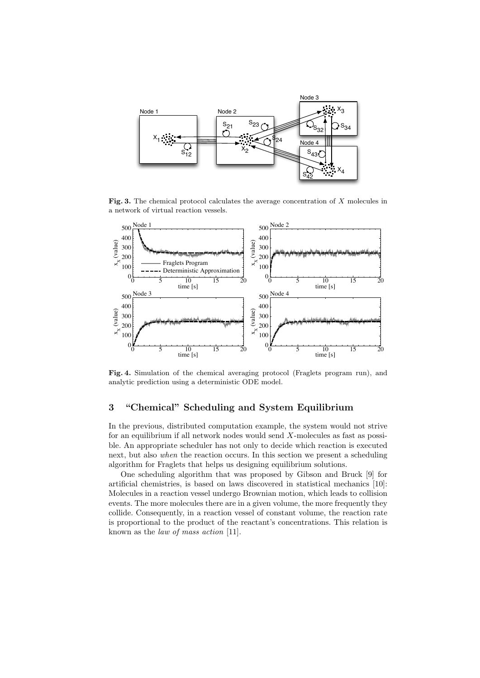

Fig. 3. The chemical protocol calculates the average concentration of X molecules in a network of virtual reaction vessels.



Fig. 4. Simulation of the chemical averaging protocol (Fraglets program run), and analytic prediction using a deterministic ODE model.

# 3 "Chemical" Scheduling and System Equilibrium

In the previous, distributed computation example, the system would not strive for an equilibrium if all network nodes would send  $X$ -molecules as fast as possible. An appropriate scheduler has not only to decide which reaction is executed next, but also when the reaction occurs. In this section we present a scheduling algorithm for Fraglets that helps us designing equilibrium solutions.

One scheduling algorithm that was proposed by Gibson and Bruck [9] for artificial chemistries, is based on laws discovered in statistical mechanics [10]: Molecules in a reaction vessel undergo Brownian motion, which leads to collision events. The more molecules there are in a given volume, the more frequently they collide. Consequently, in a reaction vessel of constant volume, the reaction rate is proportional to the product of the reactant's concentrations. This relation is known as the law of mass action [11].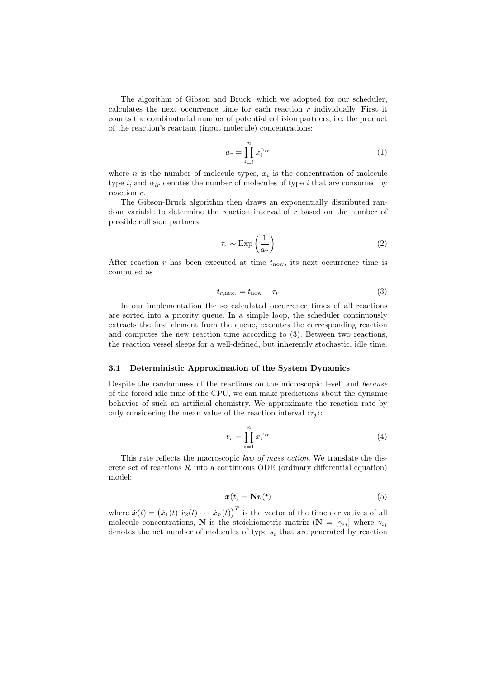The algorithm of Gibson and Bruck, which we adopted for our scheduler, calculates the next occurrence time for each reaction  $r$  individually. First it counts the combinatorial number of potential collision partners, i.e. the product of the reaction's reactant (input molecule) concentrations:

$$
a_r = \prod_{i=1}^n x_i^{\alpha_{ir}} \tag{1}
$$

where  $n$  is the number of molecule types,  $x_i$  is the concentration of molecule type i, and  $\alpha_{ir}$  denotes the number of molecules of type i that are consumed by reaction  $r$ .

The Gibson-Bruck algorithm then draws an exponentially distributed random variable to determine the reaction interval of  $r$  based on the number of possible collision partners:

$$
\tau_r \sim \text{Exp}\left(\frac{1}{a_r}\right) \tag{2}
$$

After reaction  $r$  has been executed at time  $t_{\text{now}}$ , its next occurrence time is computed as

$$
t_{r,\text{next}} = t_{\text{now}} + \tau_r \tag{3}
$$

In our implementation the so calculated occurrence times of all reactions are sorted into a priority queue. In a simple loop, the scheduler continuously extracts the first element from the queue, executes the corresponding reaction and computes the new reaction time according to (3). Between two reactions, the reaction vessel sleeps for a well-defined, but inherently stochastic, idle time.

#### 3.1 Deterministic Approximation of the System Dynamics

Despite the randomness of the reactions on the microscopic level, and because of the forced idle time of the CPU, we can make predictions about the dynamic behavior of such an artificial chemistry. We approximate the reaction rate by only considering the mean value of the reaction interval  $\langle \tau_i \rangle$ :

$$
v_r = \prod_{i=1}^n x_i^{\alpha_{ir}} \tag{4}
$$

This rate reflects the macroscopic law of mass action. We translate the discrete set of reactions  $R$  into a continuous ODE (ordinary differential equation) model:

$$
\dot{\boldsymbol{x}}(t) = \mathbf{N}\boldsymbol{v}(t) \tag{5}
$$

where  $\dot{\boldsymbol{x}}(t) = (\dot{x}_1(t) \dot{x}_2(t) \cdots \dot{x}_n(t))^T$  is the vector of the time derivatives of all molecule concentrations, N is the stoichiometric matrix  $(N = [\gamma_{ij}]$  where  $\gamma_{ij}$ denotes the net number of molecules of type  $s_i$  that are generated by reaction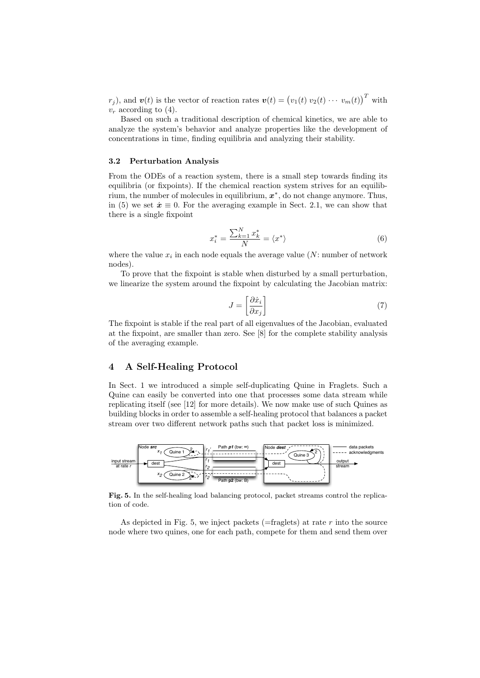$r_j$ ), and  $\boldsymbol{v}(t)$  is the vector of reaction rates  $\boldsymbol{v}(t) = (v_1(t) v_2(t) \cdots v_m(t))^T$  with  $v_r$  according to (4).

Based on such a traditional description of chemical kinetics, we are able to analyze the system's behavior and analyze properties like the development of concentrations in time, finding equilibria and analyzing their stability.

#### 3.2 Perturbation Analysis

From the ODEs of a reaction system, there is a small step towards finding its equilibria (or fixpoints). If the chemical reaction system strives for an equilibrium, the number of molecules in equilibrium,  $x^*$ , do not change anymore. Thus, in (5) we set  $\dot{x} \equiv 0$ . For the averaging example in Sect. 2.1, we can show that there is a single fixpoint

$$
x_i^* = \frac{\sum_{k=1}^N x_k^*}{N} = \langle x^* \rangle \tag{6}
$$

where the value  $x_i$  in each node equals the average value (N: number of network nodes).

To prove that the fixpoint is stable when disturbed by a small perturbation, we linearize the system around the fixpoint by calculating the Jacobian matrix:

$$
J = \left[\frac{\partial \dot{x}_i}{\partial x_j}\right] \tag{7}
$$

The fixpoint is stable if the real part of all eigenvalues of the Jacobian, evaluated at the fixpoint, are smaller than zero. See [8] for the complete stability analysis of the averaging example.

# 4 A Self-Healing Protocol

In Sect. 1 we introduced a simple self-duplicating Quine in Fraglets. Such a Quine can easily be converted into one that processes some data stream while replicating itself (see [12] for more details). We now make use of such Quines as building blocks in order to assemble a self-healing protocol that balances a packet stream over two different network paths such that packet loss is minimized.



Fig. 5. In the self-healing load balancing protocol, packet streams control the replication of code.

As depicted in Fig. 5, we inject packets ( $=$ fraglets) at rate r into the source node where two quines, one for each path, compete for them and send them over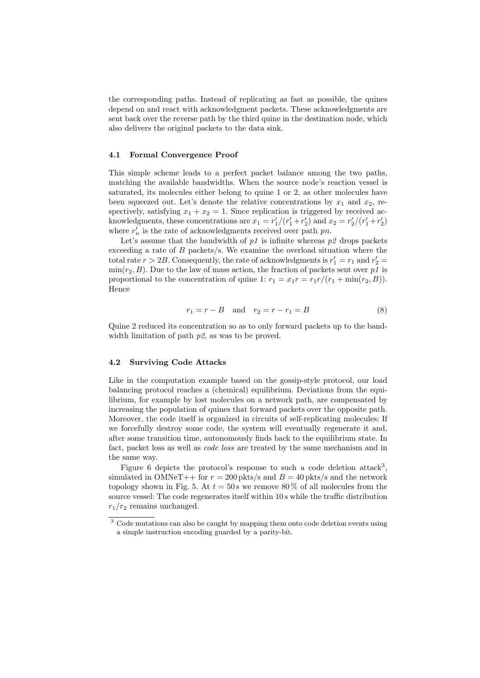the corresponding paths. Instead of replicating as fast as possible, the quines depend on and react with acknowledgment packets. These acknowledgments are sent back over the reverse path by the third quine in the destination node, which also delivers the original packets to the data sink.

#### 4.1 Formal Convergence Proof

This simple scheme leads to a perfect packet balance among the two paths, matching the available bandwidths. When the source node's reaction vessel is saturated, its molecules either belong to quine 1 or 2, as other molecules have been squeezed out. Let's denote the relative concentrations by  $x_1$  and  $x_2$ , respectively, satisfying  $x_1 + x_2 = 1$ . Since replication is triggered by received acknowledgments, these concentrations are  $x_1 = r'_1/(r'_1 + r'_2)$  and  $x_2 = r'_2/(r'_1 + r'_2)$ where  $r'_n$  is the rate of acknowledgments received over path  $pn$ .

Let's assume that the bandwidth of  $p_1$  is infinite whereas  $p_2$  drops packets exceeding a rate of  $B$  packets/s. We examine the overload situation where the total rate  $r > 2B$ . Consequently, the rate of acknowledgments is  $r'_1 = r_1$  and  $r'_2 =$  $min(r_2, B)$ . Due to the law of mass action, the fraction of packets sent over p1 is proportional to the concentration of quine 1:  $r_1 = x_1 r = r_1 r/(r_1 + \min(r_2, B)).$ Hence

$$
r_1 = r - B \text{ and } r_2 = r - r_1 = B \tag{8}
$$

Quine 2 reduced its concentration so as to only forward packets up to the bandwidth limitation of path  $p$ 2, as was to be proved.

#### 4.2 Surviving Code Attacks

Like in the computation example based on the gossip-style protocol, our load balancing protocol reaches a (chemical) equilibrium. Deviations from the equilibrium, for example by lost molecules on a network path, are compensated by increasing the population of quines that forward packets over the opposite path. Moreover, the code itself is organized in circuits of self-replicating molecules: If we forcefully destroy some code, the system will eventually regenerate it and, after some transition time, autonomously finds back to the equilibrium state. In fact, packet loss as well as code loss are treated by the same mechanism and in the same way.

Figure 6 depicts the protocol's response to such a code deletion attack<sup>3</sup>, simulated in OMNeT++ for  $r = 200$  pkts/s and  $B = 40$  pkts/s and the network topology shown in Fig. 5. At  $t = 50$  s we remove 80% of all molecules from the source vessel: The code regenerates itself within 10 s while the traffic distribution  $r_1/r_2$  remains unchanged.

<sup>&</sup>lt;sup>3</sup> Code mutations can also be caught by mapping them onto code deletion events using a simple instruction encoding guarded by a parity-bit.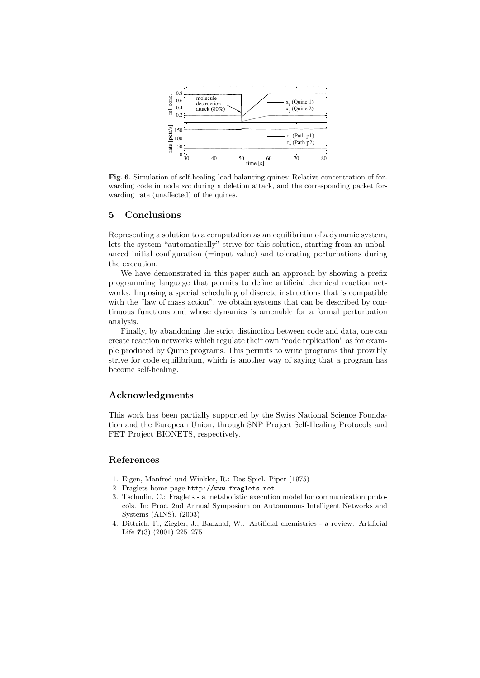

Fig. 6. Simulation of self-healing load balancing quines: Relative concentration of forwarding code in node *src* during a deletion attack, and the corresponding packet forwarding rate (unaffected) of the quines.

### 5 Conclusions

Representing a solution to a computation as an equilibrium of a dynamic system, lets the system "automatically" strive for this solution, starting from an unbalanced initial configuration (=input value) and tolerating perturbations during the execution.

We have demonstrated in this paper such an approach by showing a prefix programming language that permits to define artificial chemical reaction networks. Imposing a special scheduling of discrete instructions that is compatible with the "law of mass action", we obtain systems that can be described by continuous functions and whose dynamics is amenable for a formal perturbation analysis.

Finally, by abandoning the strict distinction between code and data, one can create reaction networks which regulate their own "code replication" as for example produced by Quine programs. This permits to write programs that provably strive for code equilibrium, which is another way of saying that a program has become self-healing.

### Acknowledgments

This work has been partially supported by the Swiss National Science Foundation and the European Union, through SNP Project Self-Healing Protocols and FET Project BIONETS, respectively.

## References

- 1. Eigen, Manfred und Winkler, R.: Das Spiel. Piper (1975)
- 2. Fraglets home page http://www.fraglets.net.
- 3. Tschudin, C.: Fraglets a metabolistic execution model for communication protocols. In: Proc. 2nd Annual Symposium on Autonomous Intelligent Networks and Systems (AINS). (2003)
- 4. Dittrich, P., Ziegler, J., Banzhaf, W.: Artificial chemistries a review. Artificial Life 7(3) (2001) 225–275